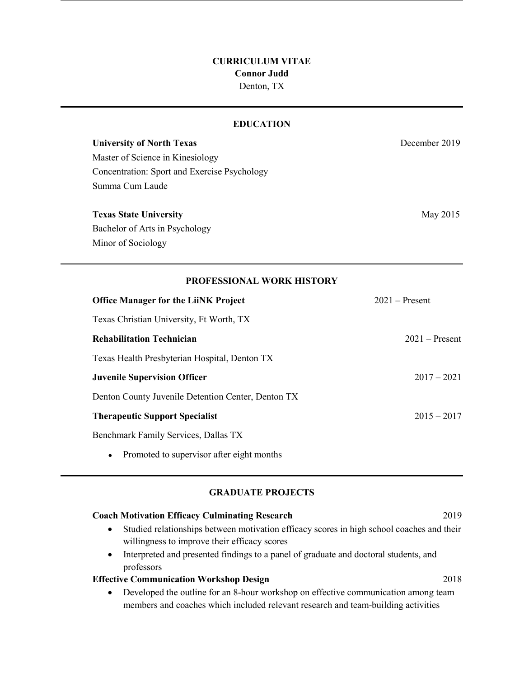## **CURRICULUM VITAE Connor Judd** Denton, TX

| <b>EDUCATION</b>                                   |                  |
|----------------------------------------------------|------------------|
| <b>University of North Texas</b>                   | December 2019    |
| Master of Science in Kinesiology                   |                  |
| Concentration: Sport and Exercise Psychology       |                  |
| Summa Cum Laude                                    |                  |
| <b>Texas State University</b>                      | May 2015         |
| Bachelor of Arts in Psychology                     |                  |
| Minor of Sociology                                 |                  |
| PROFESSIONAL WORK HISTORY                          |                  |
| <b>Office Manager for the LiiNK Project</b>        | $2021 -$ Present |
| Texas Christian University, Ft Worth, TX           |                  |
| <b>Rehabilitation Technician</b>                   | $2021 -$ Present |
| Texas Health Presbyterian Hospital, Denton TX      |                  |
| <b>Juvenile Supervision Officer</b>                | $2017 - 2021$    |
| Denton County Juvenile Detention Center, Denton TX |                  |
| <b>Therapeutic Support Specialist</b>              | $2015 - 2017$    |
| Benchmark Family Services, Dallas TX               |                  |
|                                                    |                  |

• Promoted to supervisor after eight months

## **GRADUATE PROJECTS**

| <b>Coach Motivation Efficacy Culminating Research</b>                                                  | 2019 |
|--------------------------------------------------------------------------------------------------------|------|
| Studied relationships between motivation efficacy scores in high school coaches and their<br>$\bullet$ |      |
| willingness to improve their efficacy scores                                                           |      |
| Interpreted and presented findings to a panel of graduate and doctoral students, and<br>$\bullet$      |      |
| professors                                                                                             |      |
| <b>Effective Communication Workshop Design</b>                                                         | 2018 |
| • Developed the outline for an 8-hour workshop on effective communication among team                   |      |

• Developed the outline for an 8-hour workshop on effective communication among team members and coaches which included relevant research and team-building activities